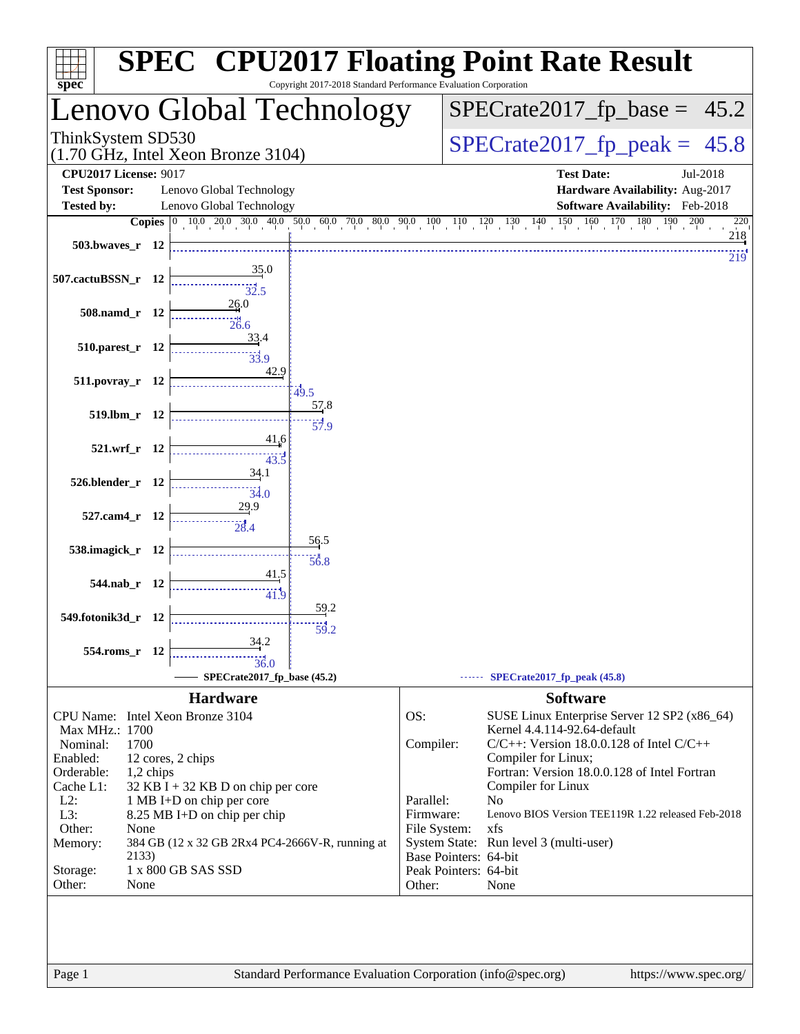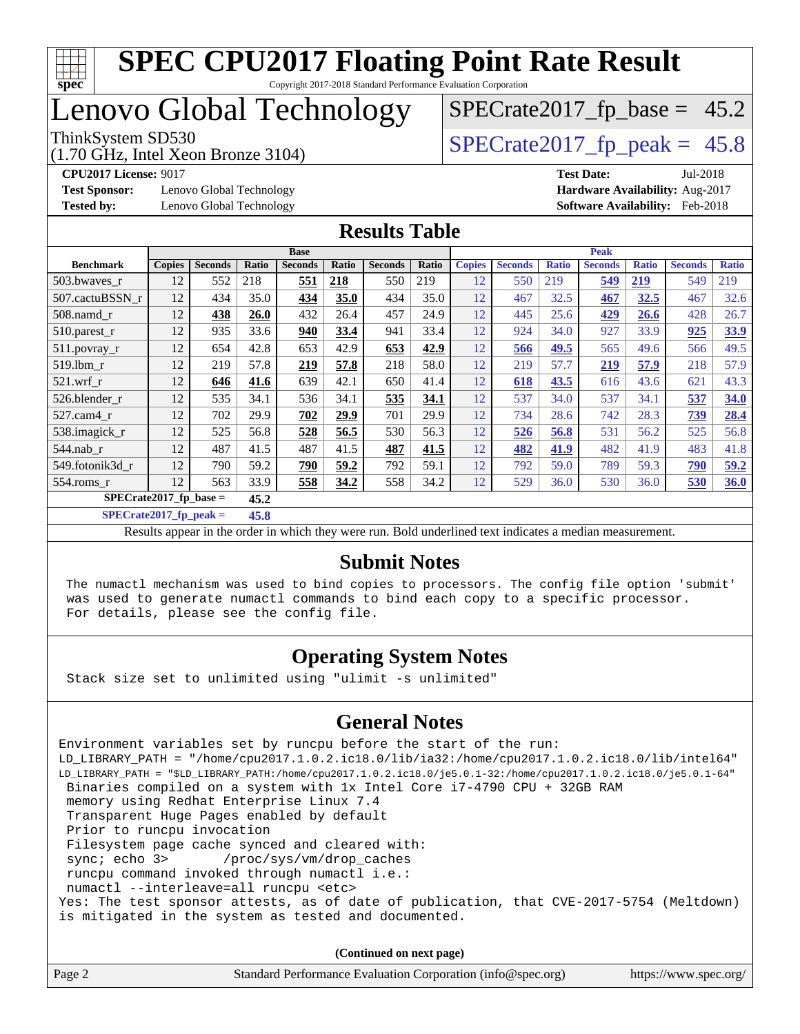

# Lenovo Global Technology

(1.70 GHz, Intel Xeon Bronze 3104)

ThinkSystem SD530<br>(1.70 GHz, Intel Xeon Bronze 3104) [SPECrate2017\\_fp\\_peak =](http://www.spec.org/auto/cpu2017/Docs/result-fields.html#SPECrate2017fppeak) 45.8  $SPECrate2017_fp\_base = 45.2$ 

**[Test Sponsor:](http://www.spec.org/auto/cpu2017/Docs/result-fields.html#TestSponsor)** Lenovo Global Technology **[Hardware Availability:](http://www.spec.org/auto/cpu2017/Docs/result-fields.html#HardwareAvailability)** Aug-2017

**[CPU2017 License:](http://www.spec.org/auto/cpu2017/Docs/result-fields.html#CPU2017License)** 9017 **[Test Date:](http://www.spec.org/auto/cpu2017/Docs/result-fields.html#TestDate)** Jul-2018 **[Tested by:](http://www.spec.org/auto/cpu2017/Docs/result-fields.html#Testedby)** Lenovo Global Technology **[Software Availability:](http://www.spec.org/auto/cpu2017/Docs/result-fields.html#SoftwareAvailability)** Feb-2018

### **[Results Table](http://www.spec.org/auto/cpu2017/Docs/result-fields.html#ResultsTable)**

|                          | <b>Base</b>   |                |             |                |       | <b>Peak</b>    |       |               |                |              |                |              |                |              |
|--------------------------|---------------|----------------|-------------|----------------|-------|----------------|-------|---------------|----------------|--------------|----------------|--------------|----------------|--------------|
| <b>Benchmark</b>         | <b>Copies</b> | <b>Seconds</b> | Ratio       | <b>Seconds</b> | Ratio | <b>Seconds</b> | Ratio | <b>Copies</b> | <b>Seconds</b> | <b>Ratio</b> | <b>Seconds</b> | <b>Ratio</b> | <b>Seconds</b> | <b>Ratio</b> |
| 503.bwayes_r             | 12            | 552            | 218         | 551            | 218   | 550            | 219   | 12            | 550            | 219          | 549            | 219          | 549            | 219          |
| 507.cactuBSSN_r          | 12            | 434            | 35.0        | 434            | 35.0  | 434            | 35.0  | 12            | 467            | 32.5         | 467            | 32.5         | 467            | 32.6         |
| $508$ .namd $r$          | 12            | 438            | <b>26.0</b> | 432            | 26.4  | 457            | 24.9  | 12            | 445            | 25.6         | 429            | 26.6         | 428            | 26.7         |
| $510.parest_r$           | 12            | 935            | 33.6        | 940            | 33.4  | 941            | 33.4  | 12            | 924            | 34.0         | 927            | 33.9         | 925            | 33.9         |
| 511.povray_r             | 12            | 654            | 42.8        | 653            | 42.9  | 653            | 42.9  | 12            | 566            | 49.5         | 565            | 49.6         | 566            | 49.5         |
| 519.1bm r                | 12            | 219            | 57.8        | 219            | 57.8  | 218            | 58.0  | 12            | 219            | 57.7         | <u>219</u>     | 57.9         | 218            | 57.9         |
| $521$ .wrf r             | 12            | 646            | 41.6        | 639            | 42.1  | 650            | 41.4  | 12            | 618            | 43.5         | 616            | 43.6         | 621            | 43.3         |
| 526.blender r            | 12            | 535            | 34.1        | 536            | 34.1  | 535            | 34.1  | 12            | 537            | 34.0         | 537            | 34.1         | 537            | 34.0         |
| $527.cam4_r$             | 12            | 702            | 29.9        | 702            | 29.9  | 701            | 29.9  | 12            | 734            | 28.6         | 742            | 28.3         | 739            | 28.4         |
| 538.imagick_r            | 12            | 525            | 56.8        | 528            | 56.5  | 530            | 56.3  | 12            | 526            | 56.8         | 531            | 56.2         | 525            | 56.8         |
| $544$ .nab r             | 12            | 487            | 41.5        | 487            | 41.5  | 487            | 41.5  | 12            | 482            | 41.9         | 482            | 41.9         | 483            | 41.8         |
| 549.fotonik3d r          | 12            | 790            | 59.2        | 790            | 59.2  | 792            | 59.1  | 12            | 792            | 59.0         | 789            | 59.3         | 790            | 59.2         |
| 554.roms r               | 12            | 563            | 33.9        | 558            | 34.2  | 558            | 34.2  | 12            | 529            | 36.0         | 530            | 36.0         | 530            | 36.0         |
| $SPECrate2017$ fp base = |               | 45.2           |             |                |       |                |       |               |                |              |                |              |                |              |

**[SPECrate2017\\_fp\\_peak =](http://www.spec.org/auto/cpu2017/Docs/result-fields.html#SPECrate2017fppeak) 45.8**

Results appear in the [order in which they were run.](http://www.spec.org/auto/cpu2017/Docs/result-fields.html#RunOrder) Bold underlined text [indicates a median measurement.](http://www.spec.org/auto/cpu2017/Docs/result-fields.html#Median)

#### **[Submit Notes](http://www.spec.org/auto/cpu2017/Docs/result-fields.html#SubmitNotes)**

 The numactl mechanism was used to bind copies to processors. The config file option 'submit' was used to generate numactl commands to bind each copy to a specific processor. For details, please see the config file.

### **[Operating System Notes](http://www.spec.org/auto/cpu2017/Docs/result-fields.html#OperatingSystemNotes)**

Stack size set to unlimited using "ulimit -s unlimited"

### **[General Notes](http://www.spec.org/auto/cpu2017/Docs/result-fields.html#GeneralNotes)**

Environment variables set by runcpu before the start of the run: LD\_LIBRARY\_PATH = "/home/cpu2017.1.0.2.ic18.0/lib/ia32:/home/cpu2017.1.0.2.ic18.0/lib/intel64" LD\_LIBRARY\_PATH = "\$LD\_LIBRARY\_PATH:/home/cpu2017.1.0.2.ic18.0/je5.0.1-32:/home/cpu2017.1.0.2.ic18.0/je5.0.1-64" Binaries compiled on a system with 1x Intel Core i7-4790 CPU + 32GB RAM memory using Redhat Enterprise Linux 7.4 Transparent Huge Pages enabled by default Prior to runcpu invocation Filesystem page cache synced and cleared with: sync; echo 3> /proc/sys/vm/drop\_caches runcpu command invoked through numactl i.e.: numactl --interleave=all runcpu <etc> Yes: The test sponsor attests, as of date of publication, that CVE-2017-5754 (Meltdown) is mitigated in the system as tested and documented.

**(Continued on next page)**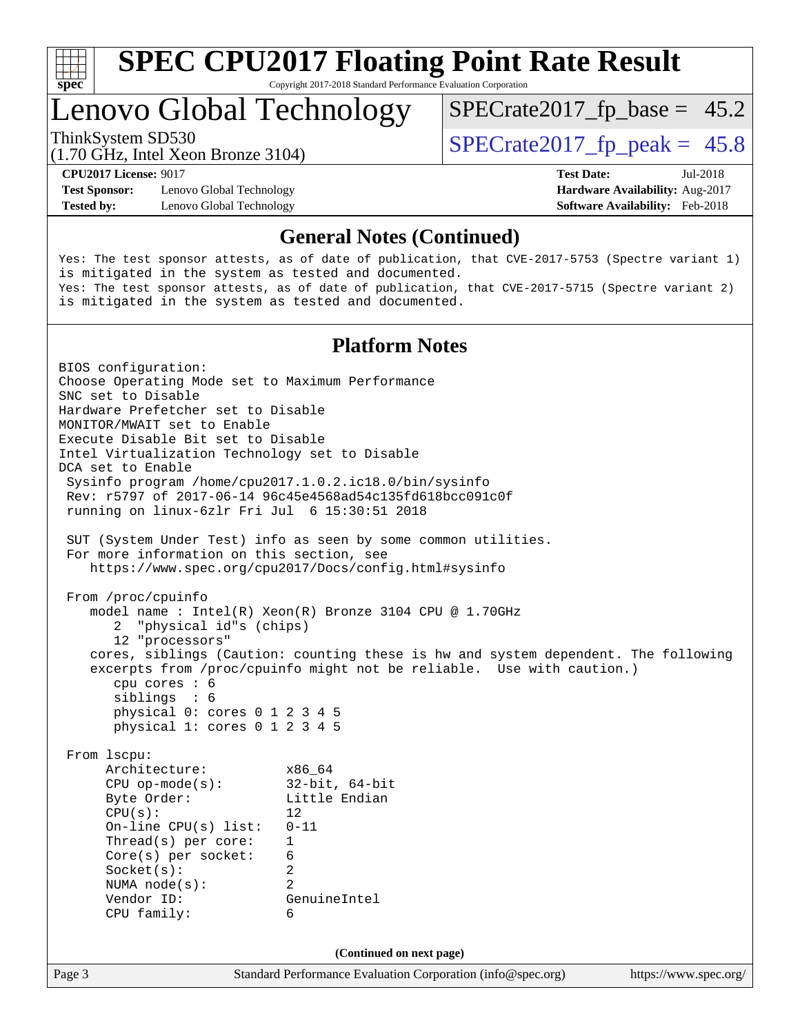

Copyright 2017-2018 Standard Performance Evaluation Corporation

# Lenovo Global Technology

ThinkSystem SD530<br>(1.70 GHz, Intel Xeon Bronze 3104) [SPECrate2017\\_fp\\_peak =](http://www.spec.org/auto/cpu2017/Docs/result-fields.html#SPECrate2017fppeak) 45.8  $SPECTate2017_fp\_base = 45.2$ 

(1.70 GHz, Intel Xeon Bronze 3104)

**[CPU2017 License:](http://www.spec.org/auto/cpu2017/Docs/result-fields.html#CPU2017License)** 9017 **[Test Date:](http://www.spec.org/auto/cpu2017/Docs/result-fields.html#TestDate)** Jul-2018

**[Test Sponsor:](http://www.spec.org/auto/cpu2017/Docs/result-fields.html#TestSponsor)** Lenovo Global Technology **[Hardware Availability:](http://www.spec.org/auto/cpu2017/Docs/result-fields.html#HardwareAvailability)** Aug-2017 **[Tested by:](http://www.spec.org/auto/cpu2017/Docs/result-fields.html#Testedby)** Lenovo Global Technology **[Software Availability:](http://www.spec.org/auto/cpu2017/Docs/result-fields.html#SoftwareAvailability)** Feb-2018

### **[General Notes \(Continued\)](http://www.spec.org/auto/cpu2017/Docs/result-fields.html#GeneralNotes)**

Yes: The test sponsor attests, as of date of publication, that CVE-2017-5753 (Spectre variant 1) is mitigated in the system as tested and documented. Yes: The test sponsor attests, as of date of publication, that CVE-2017-5715 (Spectre variant 2) is mitigated in the system as tested and documented.

### **[Platform Notes](http://www.spec.org/auto/cpu2017/Docs/result-fields.html#PlatformNotes)**

Page 3 Standard Performance Evaluation Corporation [\(info@spec.org\)](mailto:info@spec.org) <https://www.spec.org/> BIOS configuration: Choose Operating Mode set to Maximum Performance SNC set to Disable Hardware Prefetcher set to Disable MONITOR/MWAIT set to Enable Execute Disable Bit set to Disable Intel Virtualization Technology set to Disable DCA set to Enable Sysinfo program /home/cpu2017.1.0.2.ic18.0/bin/sysinfo Rev: r5797 of 2017-06-14 96c45e4568ad54c135fd618bcc091c0f running on linux-6zlr Fri Jul 6 15:30:51 2018 SUT (System Under Test) info as seen by some common utilities. For more information on this section, see <https://www.spec.org/cpu2017/Docs/config.html#sysinfo> From /proc/cpuinfo model name : Intel(R) Xeon(R) Bronze 3104 CPU @ 1.70GHz 2 "physical id"s (chips) 12 "processors" cores, siblings (Caution: counting these is hw and system dependent. The following excerpts from /proc/cpuinfo might not be reliable. Use with caution.) cpu cores : 6 siblings : 6 physical 0: cores 0 1 2 3 4 5 physical 1: cores 0 1 2 3 4 5 From lscpu: Architecture: x86\_64 CPU op-mode(s): 32-bit, 64-bit Byte Order: Little Endian  $CPU(s):$  12 On-line CPU(s) list: 0-11 Thread(s) per core: 1 Core(s) per socket: 6 Socket(s): 2 NUMA node(s): 2 Vendor ID: GenuineIntel CPU family: 6 **(Continued on next page)**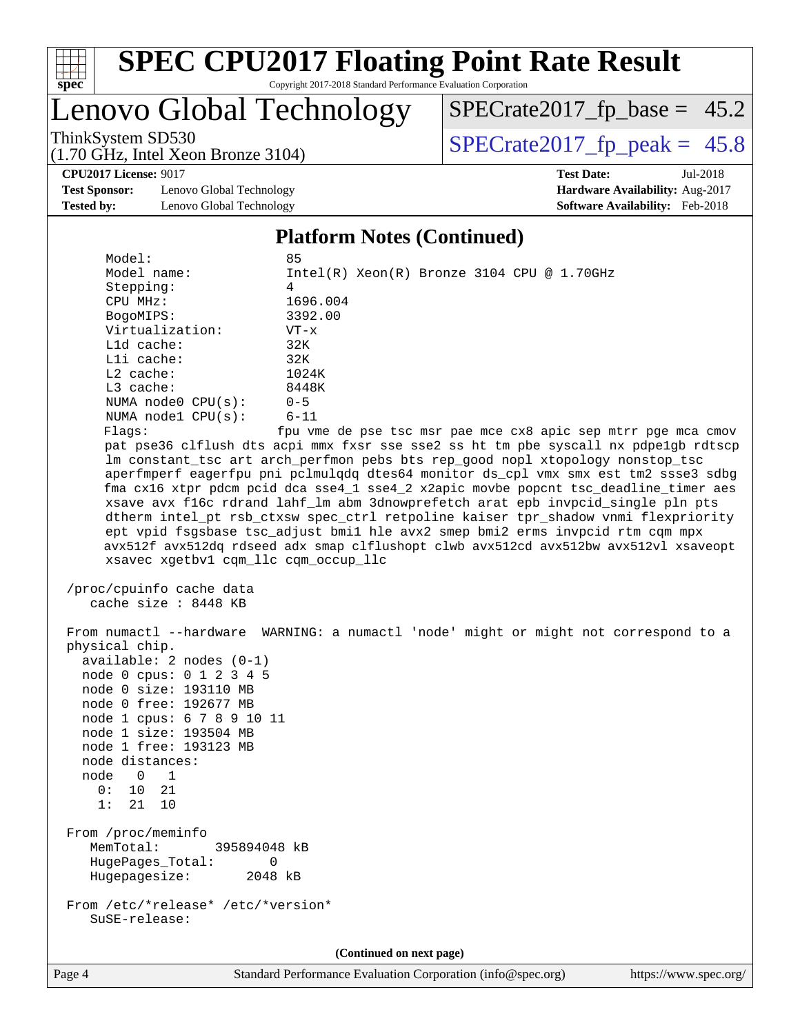

Copyright 2017-2018 Standard Performance Evaluation Corporation

# Lenovo Global Technology

 $SPECrate2017_fp\_base = 45.2$ 

(1.70 GHz, Intel Xeon Bronze 3104)

ThinkSystem SD530<br>(1.70 GHz, Intel Xeon Bronze 3104) [SPECrate2017\\_fp\\_peak =](http://www.spec.org/auto/cpu2017/Docs/result-fields.html#SPECrate2017fppeak)  $45.8$ 

**[Test Sponsor:](http://www.spec.org/auto/cpu2017/Docs/result-fields.html#TestSponsor)** Lenovo Global Technology **[Hardware Availability:](http://www.spec.org/auto/cpu2017/Docs/result-fields.html#HardwareAvailability)** Aug-2017 **[Tested by:](http://www.spec.org/auto/cpu2017/Docs/result-fields.html#Testedby)** Lenovo Global Technology **[Software Availability:](http://www.spec.org/auto/cpu2017/Docs/result-fields.html#SoftwareAvailability)** Feb-2018

**[CPU2017 License:](http://www.spec.org/auto/cpu2017/Docs/result-fields.html#CPU2017License)** 9017 **[Test Date:](http://www.spec.org/auto/cpu2017/Docs/result-fields.html#TestDate)** Jul-2018

#### **[Platform Notes \(Continued\)](http://www.spec.org/auto/cpu2017/Docs/result-fields.html#PlatformNotes)**

| Model:<br>Model name:<br>Stepping:<br>CPU MHz:<br>BogoMIPS:<br>Virtualization:<br>L1d cache:<br>Lli cache:<br>L2 cache:<br>L3 cache:<br>NUMA $node0$ $CPU(s):$<br>NUMA nodel CPU(s):<br>Flagg:<br>xsavec xgetbvl cqm_llc cqm_occup_llc                                                                                          | 85<br>$Intel(R) Xeon(R) Bronze 3104 CPU @ 1.70GHz$<br>4<br>1696.004<br>3392.00<br>$VT - x$<br>32K<br>32K<br>1024K<br>8448K<br>$0 - 5$<br>$6 - 11$<br>fpu vme de pse tsc msr pae mce cx8 apic sep mtrr pge mca cmov<br>pat pse36 clflush dts acpi mmx fxsr sse sse2 ss ht tm pbe syscall nx pdpelgb rdtscp<br>lm constant_tsc art arch_perfmon pebs bts rep_good nopl xtopology nonstop_tsc<br>aperfmperf eagerfpu pni pclmulqdq dtes64 monitor ds_cpl vmx smx est tm2 ssse3 sdbg<br>fma cx16 xtpr pdcm pcid dca sse4_1 sse4_2 x2apic movbe popcnt tsc_deadline_timer aes<br>xsave avx f16c rdrand lahf_lm abm 3dnowprefetch arat epb invpcid_single pln pts<br>dtherm intel_pt rsb_ctxsw spec_ctrl retpoline kaiser tpr_shadow vnmi flexpriority<br>ept vpid fsgsbase tsc_adjust bmil hle avx2 smep bmi2 erms invpcid rtm cqm mpx<br>avx512f avx512dq rdseed adx smap clflushopt clwb avx512cd avx512bw avx512vl xsaveopt |
|---------------------------------------------------------------------------------------------------------------------------------------------------------------------------------------------------------------------------------------------------------------------------------------------------------------------------------|---------------------------------------------------------------------------------------------------------------------------------------------------------------------------------------------------------------------------------------------------------------------------------------------------------------------------------------------------------------------------------------------------------------------------------------------------------------------------------------------------------------------------------------------------------------------------------------------------------------------------------------------------------------------------------------------------------------------------------------------------------------------------------------------------------------------------------------------------------------------------------------------------------------------------|
| /proc/cpuinfo cache data<br>cache size : 8448 KB                                                                                                                                                                                                                                                                                |                                                                                                                                                                                                                                                                                                                                                                                                                                                                                                                                                                                                                                                                                                                                                                                                                                                                                                                           |
| physical chip.<br>$available: 2 nodes (0-1)$<br>node 0 cpus: 0 1 2 3 4 5<br>node 0 size: 193110 MB<br>node 0 free: 192677 MB<br>node 1 cpus: 6 7 8 9 10 11<br>node 1 size: 193504 MB<br>node 1 free: 193123 MB<br>node distances:<br>node<br>$\overline{\phantom{0}}$<br>$\overline{\phantom{0}}$<br>10 21<br>0:<br>1:<br>21 10 | From numactl --hardware WARNING: a numactl 'node' might or might not correspond to a                                                                                                                                                                                                                                                                                                                                                                                                                                                                                                                                                                                                                                                                                                                                                                                                                                      |
| From /proc/meminfo<br>MemTotal:<br>395894048 kB<br>HugePages_Total:<br>0<br>Hugepagesize:<br>2048 kB                                                                                                                                                                                                                            |                                                                                                                                                                                                                                                                                                                                                                                                                                                                                                                                                                                                                                                                                                                                                                                                                                                                                                                           |
| From /etc/*release* /etc/*version*<br>SuSE-release:                                                                                                                                                                                                                                                                             |                                                                                                                                                                                                                                                                                                                                                                                                                                                                                                                                                                                                                                                                                                                                                                                                                                                                                                                           |
|                                                                                                                                                                                                                                                                                                                                 | (Continued on next page)                                                                                                                                                                                                                                                                                                                                                                                                                                                                                                                                                                                                                                                                                                                                                                                                                                                                                                  |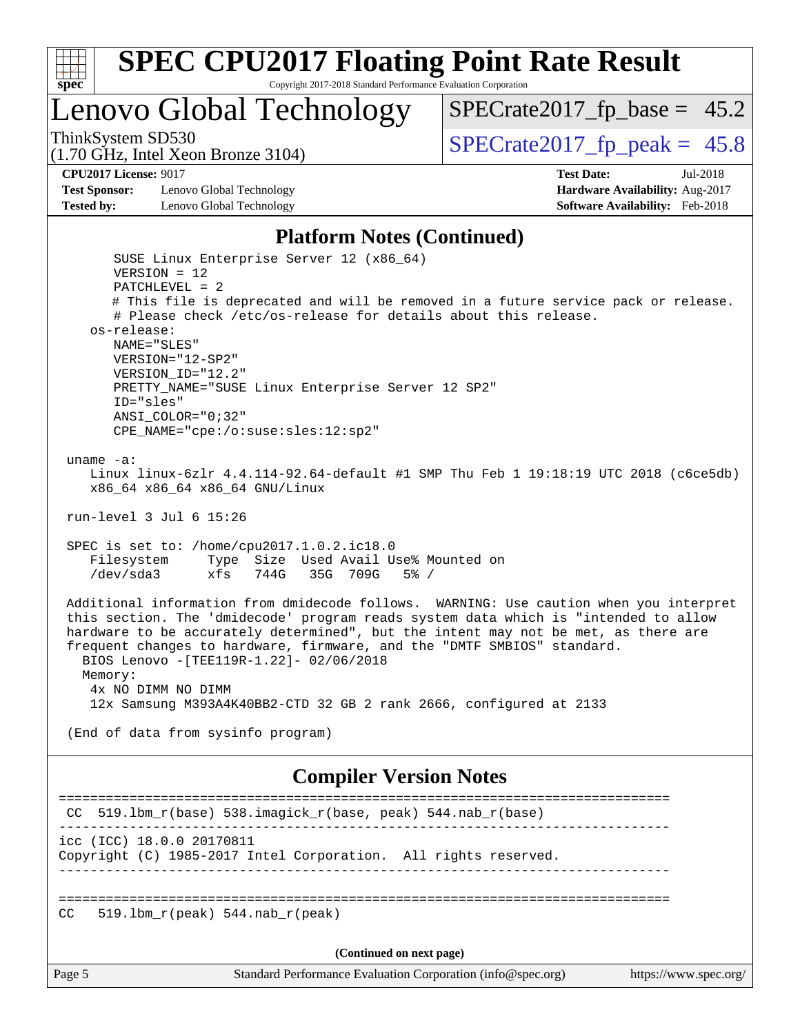

Copyright 2017-2018 Standard Performance Evaluation Corporation

# Lenovo Global Technology

ThinkSystem SD530<br>(1.70 GHz, Intel Yoon Bronze 3104) [SPECrate2017\\_fp\\_peak =](http://www.spec.org/auto/cpu2017/Docs/result-fields.html#SPECrate2017fppeak) 45.8  $SPECTate2017_fp\_base = 45.2$ 

(1.70 GHz, Intel Xeon Bronze 3104)

**[CPU2017 License:](http://www.spec.org/auto/cpu2017/Docs/result-fields.html#CPU2017License)** 9017 **[Test Date:](http://www.spec.org/auto/cpu2017/Docs/result-fields.html#TestDate)** Jul-2018

**[Test Sponsor:](http://www.spec.org/auto/cpu2017/Docs/result-fields.html#TestSponsor)** Lenovo Global Technology **[Hardware Availability:](http://www.spec.org/auto/cpu2017/Docs/result-fields.html#HardwareAvailability)** Aug-2017 **[Tested by:](http://www.spec.org/auto/cpu2017/Docs/result-fields.html#Testedby)** Lenovo Global Technology **[Software Availability:](http://www.spec.org/auto/cpu2017/Docs/result-fields.html#SoftwareAvailability)** Feb-2018

#### **[Platform Notes \(Continued\)](http://www.spec.org/auto/cpu2017/Docs/result-fields.html#PlatformNotes)**

 SUSE Linux Enterprise Server 12 (x86\_64) VERSION = 12 PATCHLEVEL = 2 # This file is deprecated and will be removed in a future service pack or release. # Please check /etc/os-release for details about this release. os-release: NAME="SLES" VERSION="12-SP2" VERSION\_ID="12.2" PRETTY\_NAME="SUSE Linux Enterprise Server 12 SP2" ID="sles" ANSI\_COLOR="0;32" CPE\_NAME="cpe:/o:suse:sles:12:sp2" uname -a: Linux linux-6zlr 4.4.114-92.64-default #1 SMP Thu Feb 1 19:18:19 UTC 2018 (c6ce5db) x86\_64 x86\_64 x86\_64 GNU/Linux run-level 3 Jul 6 15:26 SPEC is set to: /home/cpu2017.1.0.2.ic18.0 Filesystem Type Size Used Avail Use% Mounted on /dev/sda3 xfs 744G 35G 709G 5% / Additional information from dmidecode follows. WARNING: Use caution when you interpret this section. The 'dmidecode' program reads system data which is "intended to allow hardware to be accurately determined", but the intent may not be met, as there are frequent changes to hardware, firmware, and the "DMTF SMBIOS" standard. BIOS Lenovo -[TEE119R-1.22]- 02/06/2018 Memory: 4x NO DIMM NO DIMM 12x Samsung M393A4K40BB2-CTD 32 GB 2 rank 2666, configured at 2133 (End of data from sysinfo program) **[Compiler Version Notes](http://www.spec.org/auto/cpu2017/Docs/result-fields.html#CompilerVersionNotes)** ============================================================================== CC 519.lbm\_r(base) 538.imagick\_r(base, peak) 544.nab\_r(base) ----------------------------------------------------------------------------- icc (ICC) 18.0.0 20170811

Copyright (C) 1985-2017 Intel Corporation. All rights reserved. ------------------------------------------------------------------------------

==============================================================================

CC 519.1bm  $r(\text{peak})$  544.nab  $r(\text{peak})$ 

**(Continued on next page)**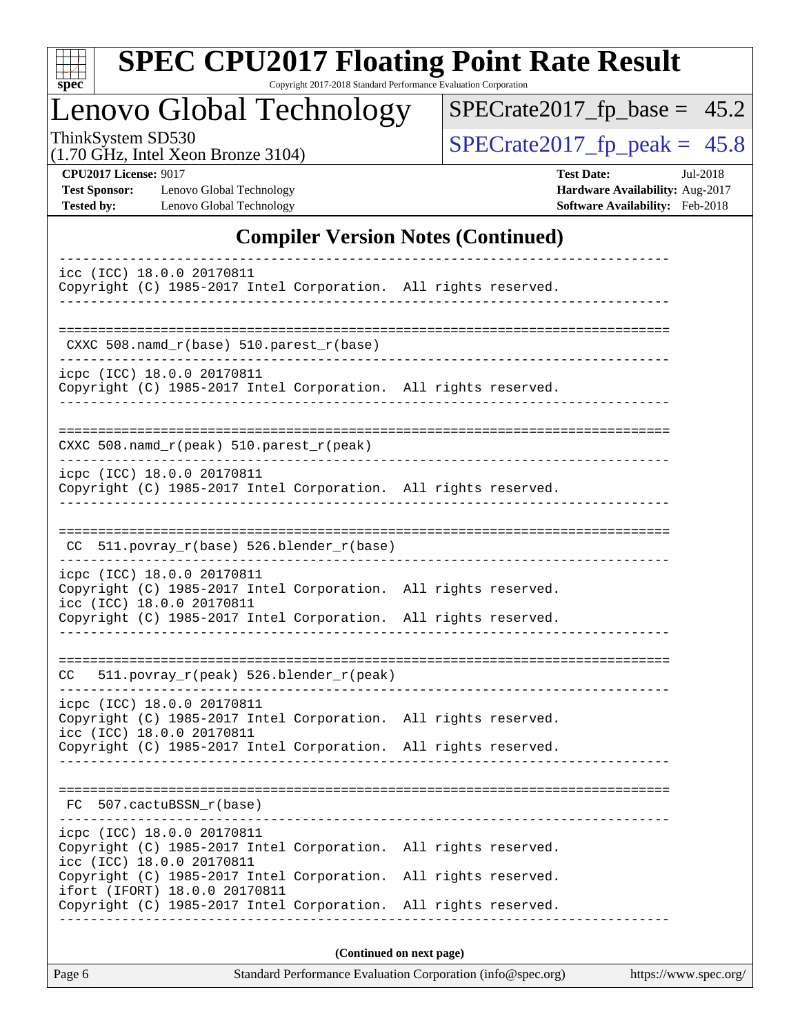| S | оe |  |
|---|----|--|

Copyright 2017-2018 Standard Performance Evaluation Corporation

### Lenovo Global Technology

 $SPECrate2017_fp\_base = 45.2$ 

(1.70 GHz, Intel Xeon Bronze 3104)

ThinkSystem SD530<br>(1.70 GHz, Intel Xeon Bronze 3104) [SPECrate2017\\_fp\\_peak =](http://www.spec.org/auto/cpu2017/Docs/result-fields.html#SPECrate2017fppeak)  $45.8$ 

**[Test Sponsor:](http://www.spec.org/auto/cpu2017/Docs/result-fields.html#TestSponsor)** Lenovo Global Technology **[Hardware Availability:](http://www.spec.org/auto/cpu2017/Docs/result-fields.html#HardwareAvailability)** Aug-2017 **[Tested by:](http://www.spec.org/auto/cpu2017/Docs/result-fields.html#Testedby)** Lenovo Global Technology **[Software Availability:](http://www.spec.org/auto/cpu2017/Docs/result-fields.html#SoftwareAvailability)** Feb-2018

**[CPU2017 License:](http://www.spec.org/auto/cpu2017/Docs/result-fields.html#CPU2017License)** 9017 **[Test Date:](http://www.spec.org/auto/cpu2017/Docs/result-fields.html#TestDate)** Jul-2018

### **[Compiler Version Notes \(Continued\)](http://www.spec.org/auto/cpu2017/Docs/result-fields.html#CompilerVersionNotes)**

| icc (ICC) 18.0.0 20170811<br>Copyright (C) 1985-2017 Intel Corporation. All rights reserved.                                                   |                          |
|------------------------------------------------------------------------------------------------------------------------------------------------|--------------------------|
| CXXC 508.namd_r(base) 510.parest_r(base)                                                                                                       |                          |
| icpc (ICC) 18.0.0 20170811<br>Copyright (C) 1985-2017 Intel Corporation. All rights reserved.                                                  |                          |
| CXXC 508.namd_r(peak) 510.parest_r(peak)                                                                                                       |                          |
| icpc (ICC) 18.0.0 20170811<br>Copyright (C) 1985-2017 Intel Corporation. All rights reserved.                                                  |                          |
| 511.povray_r(base) 526.blender_r(base)<br>CC.                                                                                                  |                          |
| icpc (ICC) 18.0.0 20170811<br>Copyright (C) 1985-2017 Intel Corporation. All rights reserved.<br>icc (ICC) 18.0.0 20170811                     |                          |
| Copyright (C) 1985-2017 Intel Corporation. All rights reserved.                                                                                |                          |
| 511.povray_r(peak) 526.blender_r(peak)<br>CC .                                                                                                 |                          |
| icpc (ICC) 18.0.0 20170811<br>Copyright (C) 1985-2017 Intel Corporation. All rights reserved.<br>icc (ICC) 18.0.0 20170811                     |                          |
| Copyright (C) 1985-2017 Intel Corporation. All rights reserved.                                                                                |                          |
| 507.cactuBSSN_r(base)<br>FC.                                                                                                                   |                          |
| icpc (ICC) 18.0.0 20170811<br>Copyright (C) 1985-2017 Intel Corporation. All rights reserved.<br>icc (ICC) 18.0.0 20170811                     |                          |
| Copyright (C) 1985-2017 Intel Corporation.<br>ifort (IFORT) 18.0.0 20170811<br>Copyright (C) 1985-2017 Intel Corporation. All rights reserved. | All rights reserved.     |
|                                                                                                                                                | (Continued on next page) |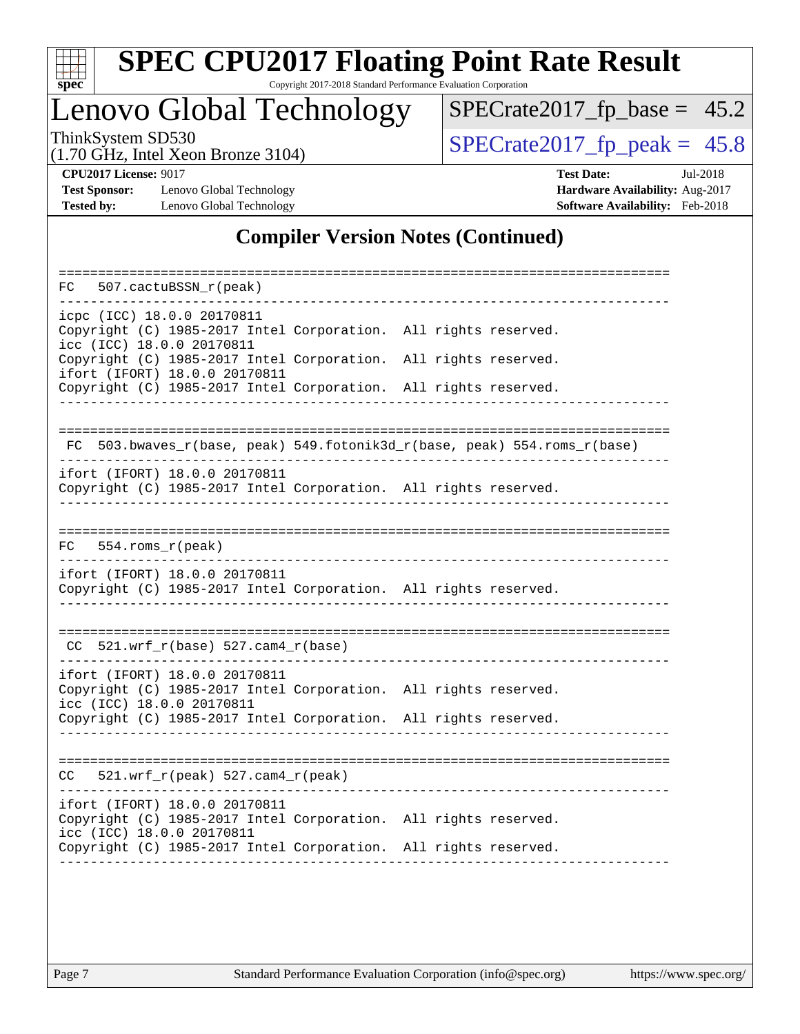

Copyright 2017-2018 Standard Performance Evaluation Corporation

# Lenovo Global Technology

 $SPECrate2017_fp\_base = 45.2$ 

(1.70 GHz, Intel Xeon Bronze 3104)

ThinkSystem SD530<br>(1.70 GHz, Intel Xeon Bronze 3104) [SPECrate2017\\_fp\\_peak =](http://www.spec.org/auto/cpu2017/Docs/result-fields.html#SPECrate2017fppeak)  $45.8$ 

**[Test Sponsor:](http://www.spec.org/auto/cpu2017/Docs/result-fields.html#TestSponsor)** Lenovo Global Technology **[Hardware Availability:](http://www.spec.org/auto/cpu2017/Docs/result-fields.html#HardwareAvailability)** Aug-2017 **[Tested by:](http://www.spec.org/auto/cpu2017/Docs/result-fields.html#Testedby)** Lenovo Global Technology **[Software Availability:](http://www.spec.org/auto/cpu2017/Docs/result-fields.html#SoftwareAvailability)** Feb-2018

**[CPU2017 License:](http://www.spec.org/auto/cpu2017/Docs/result-fields.html#CPU2017License)** 9017 **[Test Date:](http://www.spec.org/auto/cpu2017/Docs/result-fields.html#TestDate)** Jul-2018

### **[Compiler Version Notes \(Continued\)](http://www.spec.org/auto/cpu2017/Docs/result-fields.html#CompilerVersionNotes)**

| 507.cactuBSSN_r(peak)<br>FC.                                                                                                  |                                                                       |
|-------------------------------------------------------------------------------------------------------------------------------|-----------------------------------------------------------------------|
| icpc (ICC) 18.0.0 20170811<br>Copyright (C) 1985-2017 Intel Corporation. All rights reserved.<br>icc (ICC) 18.0.0 20170811    |                                                                       |
| Copyright (C) 1985-2017 Intel Corporation.<br>ifort (IFORT) 18.0.0 20170811                                                   | All rights reserved.                                                  |
| Copyright (C) 1985-2017 Intel Corporation. All rights reserved.                                                               |                                                                       |
| FC                                                                                                                            | 503.bwaves_r(base, peak) 549.fotonik3d_r(base, peak) 554.roms_r(base) |
| ifort (IFORT) 18.0.0 20170811<br>Copyright (C) 1985-2017 Intel Corporation. All rights reserved.                              |                                                                       |
| $554.rows_r(peak)$<br>FC                                                                                                      |                                                                       |
| ifort (IFORT) 18.0.0 20170811<br>Copyright (C) 1985-2017 Intel Corporation. All rights reserved.                              |                                                                       |
| $CC$ 521.wrf_r(base) 527.cam4_r(base)                                                                                         |                                                                       |
| ifort (IFORT) 18.0.0 20170811<br>Copyright (C) 1985-2017 Intel Corporation. All rights reserved.<br>icc (ICC) 18.0.0 20170811 |                                                                       |
| Copyright (C) 1985-2017 Intel Corporation. All rights reserved.                                                               |                                                                       |
| 521.wrf_r(peak) 527.cam4_r(peak)<br>CC                                                                                        |                                                                       |
| ifort (IFORT) 18.0.0 20170811<br>Copyright (C) 1985-2017 Intel Corporation. All rights reserved.<br>icc (ICC) 18.0.0 20170811 |                                                                       |
| Copyright (C) 1985-2017 Intel Corporation. All rights reserved.                                                               |                                                                       |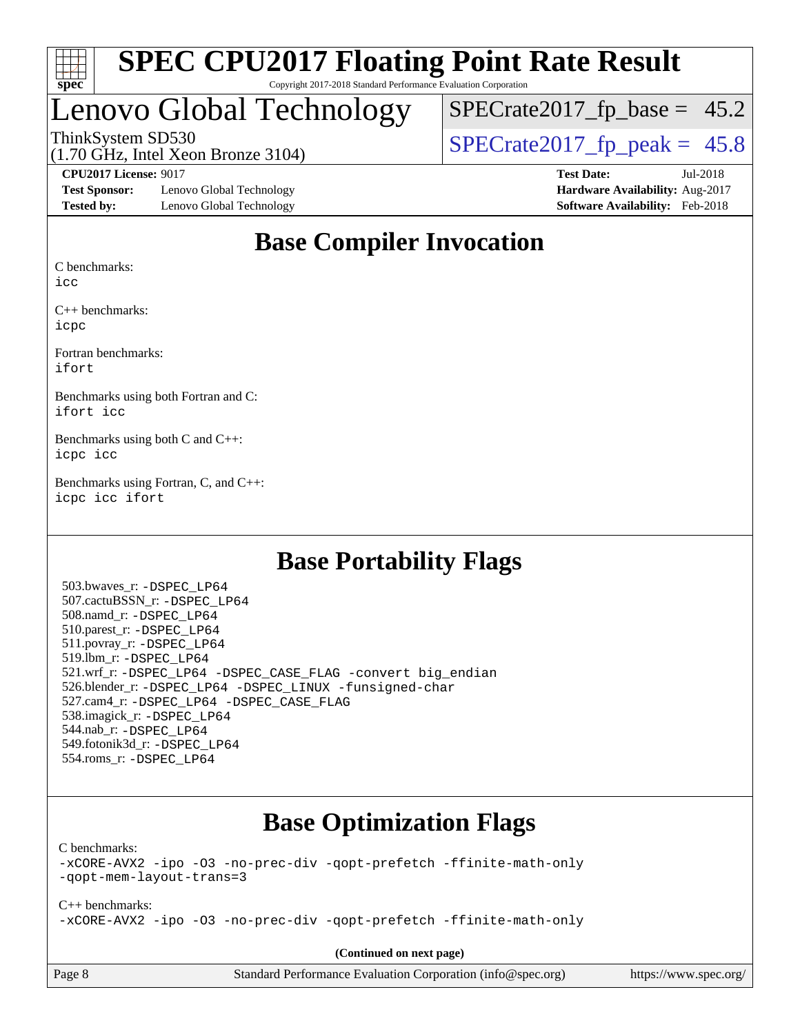

# Lenovo Global Technology

 $SPECTate2017_fp\_base = 45.2$ 

(1.70 GHz, Intel Xeon Bronze 3104)

ThinkSystem SD530<br>(1.70 GHz, Intel Xeon Bronze 3104) [SPECrate2017\\_fp\\_peak =](http://www.spec.org/auto/cpu2017/Docs/result-fields.html#SPECrate2017fppeak)  $45.8$ 

**[Test Sponsor:](http://www.spec.org/auto/cpu2017/Docs/result-fields.html#TestSponsor)** Lenovo Global Technology **[Hardware Availability:](http://www.spec.org/auto/cpu2017/Docs/result-fields.html#HardwareAvailability)** Aug-2017 **[Tested by:](http://www.spec.org/auto/cpu2017/Docs/result-fields.html#Testedby)** Lenovo Global Technology **[Software Availability:](http://www.spec.org/auto/cpu2017/Docs/result-fields.html#SoftwareAvailability)** Feb-2018

**[CPU2017 License:](http://www.spec.org/auto/cpu2017/Docs/result-fields.html#CPU2017License)** 9017 **[Test Date:](http://www.spec.org/auto/cpu2017/Docs/result-fields.html#TestDate)** Jul-2018

### **[Base Compiler Invocation](http://www.spec.org/auto/cpu2017/Docs/result-fields.html#BaseCompilerInvocation)**

[C benchmarks:](http://www.spec.org/auto/cpu2017/Docs/result-fields.html#Cbenchmarks)

[icc](http://www.spec.org/cpu2017/results/res2018q3/cpu2017-20180709-07722.flags.html#user_CCbase_intel_icc_18.0_66fc1ee009f7361af1fbd72ca7dcefbb700085f36577c54f309893dd4ec40d12360134090235512931783d35fd58c0460139e722d5067c5574d8eaf2b3e37e92)

[C++ benchmarks:](http://www.spec.org/auto/cpu2017/Docs/result-fields.html#CXXbenchmarks) [icpc](http://www.spec.org/cpu2017/results/res2018q3/cpu2017-20180709-07722.flags.html#user_CXXbase_intel_icpc_18.0_c510b6838c7f56d33e37e94d029a35b4a7bccf4766a728ee175e80a419847e808290a9b78be685c44ab727ea267ec2f070ec5dc83b407c0218cded6866a35d07)

[Fortran benchmarks](http://www.spec.org/auto/cpu2017/Docs/result-fields.html#Fortranbenchmarks): [ifort](http://www.spec.org/cpu2017/results/res2018q3/cpu2017-20180709-07722.flags.html#user_FCbase_intel_ifort_18.0_8111460550e3ca792625aed983ce982f94888b8b503583aa7ba2b8303487b4d8a21a13e7191a45c5fd58ff318f48f9492884d4413fa793fd88dd292cad7027ca)

[Benchmarks using both Fortran and C:](http://www.spec.org/auto/cpu2017/Docs/result-fields.html#BenchmarksusingbothFortranandC) [ifort](http://www.spec.org/cpu2017/results/res2018q3/cpu2017-20180709-07722.flags.html#user_CC_FCbase_intel_ifort_18.0_8111460550e3ca792625aed983ce982f94888b8b503583aa7ba2b8303487b4d8a21a13e7191a45c5fd58ff318f48f9492884d4413fa793fd88dd292cad7027ca) [icc](http://www.spec.org/cpu2017/results/res2018q3/cpu2017-20180709-07722.flags.html#user_CC_FCbase_intel_icc_18.0_66fc1ee009f7361af1fbd72ca7dcefbb700085f36577c54f309893dd4ec40d12360134090235512931783d35fd58c0460139e722d5067c5574d8eaf2b3e37e92)

[Benchmarks using both C and C++](http://www.spec.org/auto/cpu2017/Docs/result-fields.html#BenchmarksusingbothCandCXX): [icpc](http://www.spec.org/cpu2017/results/res2018q3/cpu2017-20180709-07722.flags.html#user_CC_CXXbase_intel_icpc_18.0_c510b6838c7f56d33e37e94d029a35b4a7bccf4766a728ee175e80a419847e808290a9b78be685c44ab727ea267ec2f070ec5dc83b407c0218cded6866a35d07) [icc](http://www.spec.org/cpu2017/results/res2018q3/cpu2017-20180709-07722.flags.html#user_CC_CXXbase_intel_icc_18.0_66fc1ee009f7361af1fbd72ca7dcefbb700085f36577c54f309893dd4ec40d12360134090235512931783d35fd58c0460139e722d5067c5574d8eaf2b3e37e92)

[Benchmarks using Fortran, C, and C++:](http://www.spec.org/auto/cpu2017/Docs/result-fields.html#BenchmarksusingFortranCandCXX) [icpc](http://www.spec.org/cpu2017/results/res2018q3/cpu2017-20180709-07722.flags.html#user_CC_CXX_FCbase_intel_icpc_18.0_c510b6838c7f56d33e37e94d029a35b4a7bccf4766a728ee175e80a419847e808290a9b78be685c44ab727ea267ec2f070ec5dc83b407c0218cded6866a35d07) [icc](http://www.spec.org/cpu2017/results/res2018q3/cpu2017-20180709-07722.flags.html#user_CC_CXX_FCbase_intel_icc_18.0_66fc1ee009f7361af1fbd72ca7dcefbb700085f36577c54f309893dd4ec40d12360134090235512931783d35fd58c0460139e722d5067c5574d8eaf2b3e37e92) [ifort](http://www.spec.org/cpu2017/results/res2018q3/cpu2017-20180709-07722.flags.html#user_CC_CXX_FCbase_intel_ifort_18.0_8111460550e3ca792625aed983ce982f94888b8b503583aa7ba2b8303487b4d8a21a13e7191a45c5fd58ff318f48f9492884d4413fa793fd88dd292cad7027ca)

### **[Base Portability Flags](http://www.spec.org/auto/cpu2017/Docs/result-fields.html#BasePortabilityFlags)**

 503.bwaves\_r: [-DSPEC\\_LP64](http://www.spec.org/cpu2017/results/res2018q3/cpu2017-20180709-07722.flags.html#suite_basePORTABILITY503_bwaves_r_DSPEC_LP64) 507.cactuBSSN\_r: [-DSPEC\\_LP64](http://www.spec.org/cpu2017/results/res2018q3/cpu2017-20180709-07722.flags.html#suite_basePORTABILITY507_cactuBSSN_r_DSPEC_LP64) 508.namd\_r: [-DSPEC\\_LP64](http://www.spec.org/cpu2017/results/res2018q3/cpu2017-20180709-07722.flags.html#suite_basePORTABILITY508_namd_r_DSPEC_LP64) 510.parest\_r: [-DSPEC\\_LP64](http://www.spec.org/cpu2017/results/res2018q3/cpu2017-20180709-07722.flags.html#suite_basePORTABILITY510_parest_r_DSPEC_LP64) 511.povray\_r: [-DSPEC\\_LP64](http://www.spec.org/cpu2017/results/res2018q3/cpu2017-20180709-07722.flags.html#suite_basePORTABILITY511_povray_r_DSPEC_LP64) 519.lbm\_r: [-DSPEC\\_LP64](http://www.spec.org/cpu2017/results/res2018q3/cpu2017-20180709-07722.flags.html#suite_basePORTABILITY519_lbm_r_DSPEC_LP64) 521.wrf\_r: [-DSPEC\\_LP64](http://www.spec.org/cpu2017/results/res2018q3/cpu2017-20180709-07722.flags.html#suite_basePORTABILITY521_wrf_r_DSPEC_LP64) [-DSPEC\\_CASE\\_FLAG](http://www.spec.org/cpu2017/results/res2018q3/cpu2017-20180709-07722.flags.html#b521.wrf_r_baseCPORTABILITY_DSPEC_CASE_FLAG) [-convert big\\_endian](http://www.spec.org/cpu2017/results/res2018q3/cpu2017-20180709-07722.flags.html#user_baseFPORTABILITY521_wrf_r_convert_big_endian_c3194028bc08c63ac5d04de18c48ce6d347e4e562e8892b8bdbdc0214820426deb8554edfa529a3fb25a586e65a3d812c835984020483e7e73212c4d31a38223) 526.blender\_r: [-DSPEC\\_LP64](http://www.spec.org/cpu2017/results/res2018q3/cpu2017-20180709-07722.flags.html#suite_basePORTABILITY526_blender_r_DSPEC_LP64) [-DSPEC\\_LINUX](http://www.spec.org/cpu2017/results/res2018q3/cpu2017-20180709-07722.flags.html#b526.blender_r_baseCPORTABILITY_DSPEC_LINUX) [-funsigned-char](http://www.spec.org/cpu2017/results/res2018q3/cpu2017-20180709-07722.flags.html#user_baseCPORTABILITY526_blender_r_force_uchar_40c60f00ab013830e2dd6774aeded3ff59883ba5a1fc5fc14077f794d777847726e2a5858cbc7672e36e1b067e7e5c1d9a74f7176df07886a243d7cc18edfe67) 527.cam4\_r: [-DSPEC\\_LP64](http://www.spec.org/cpu2017/results/res2018q3/cpu2017-20180709-07722.flags.html#suite_basePORTABILITY527_cam4_r_DSPEC_LP64) [-DSPEC\\_CASE\\_FLAG](http://www.spec.org/cpu2017/results/res2018q3/cpu2017-20180709-07722.flags.html#b527.cam4_r_baseCPORTABILITY_DSPEC_CASE_FLAG) 538.imagick\_r: [-DSPEC\\_LP64](http://www.spec.org/cpu2017/results/res2018q3/cpu2017-20180709-07722.flags.html#suite_basePORTABILITY538_imagick_r_DSPEC_LP64) 544.nab\_r: [-DSPEC\\_LP64](http://www.spec.org/cpu2017/results/res2018q3/cpu2017-20180709-07722.flags.html#suite_basePORTABILITY544_nab_r_DSPEC_LP64) 549.fotonik3d\_r: [-DSPEC\\_LP64](http://www.spec.org/cpu2017/results/res2018q3/cpu2017-20180709-07722.flags.html#suite_basePORTABILITY549_fotonik3d_r_DSPEC_LP64) 554.roms\_r: [-DSPEC\\_LP64](http://www.spec.org/cpu2017/results/res2018q3/cpu2017-20180709-07722.flags.html#suite_basePORTABILITY554_roms_r_DSPEC_LP64)

### **[Base Optimization Flags](http://www.spec.org/auto/cpu2017/Docs/result-fields.html#BaseOptimizationFlags)**

[C benchmarks](http://www.spec.org/auto/cpu2017/Docs/result-fields.html#Cbenchmarks):

[-xCORE-AVX2](http://www.spec.org/cpu2017/results/res2018q3/cpu2017-20180709-07722.flags.html#user_CCbase_f-xCORE-AVX2) [-ipo](http://www.spec.org/cpu2017/results/res2018q3/cpu2017-20180709-07722.flags.html#user_CCbase_f-ipo) [-O3](http://www.spec.org/cpu2017/results/res2018q3/cpu2017-20180709-07722.flags.html#user_CCbase_f-O3) [-no-prec-div](http://www.spec.org/cpu2017/results/res2018q3/cpu2017-20180709-07722.flags.html#user_CCbase_f-no-prec-div) [-qopt-prefetch](http://www.spec.org/cpu2017/results/res2018q3/cpu2017-20180709-07722.flags.html#user_CCbase_f-qopt-prefetch) [-ffinite-math-only](http://www.spec.org/cpu2017/results/res2018q3/cpu2017-20180709-07722.flags.html#user_CCbase_f_finite_math_only_cb91587bd2077682c4b38af759c288ed7c732db004271a9512da14a4f8007909a5f1427ecbf1a0fb78ff2a814402c6114ac565ca162485bbcae155b5e4258871) [-qopt-mem-layout-trans=3](http://www.spec.org/cpu2017/results/res2018q3/cpu2017-20180709-07722.flags.html#user_CCbase_f-qopt-mem-layout-trans_de80db37974c74b1f0e20d883f0b675c88c3b01e9d123adea9b28688d64333345fb62bc4a798493513fdb68f60282f9a726aa07f478b2f7113531aecce732043)

[C++ benchmarks:](http://www.spec.org/auto/cpu2017/Docs/result-fields.html#CXXbenchmarks) [-xCORE-AVX2](http://www.spec.org/cpu2017/results/res2018q3/cpu2017-20180709-07722.flags.html#user_CXXbase_f-xCORE-AVX2) [-ipo](http://www.spec.org/cpu2017/results/res2018q3/cpu2017-20180709-07722.flags.html#user_CXXbase_f-ipo) [-O3](http://www.spec.org/cpu2017/results/res2018q3/cpu2017-20180709-07722.flags.html#user_CXXbase_f-O3) [-no-prec-div](http://www.spec.org/cpu2017/results/res2018q3/cpu2017-20180709-07722.flags.html#user_CXXbase_f-no-prec-div) [-qopt-prefetch](http://www.spec.org/cpu2017/results/res2018q3/cpu2017-20180709-07722.flags.html#user_CXXbase_f-qopt-prefetch) [-ffinite-math-only](http://www.spec.org/cpu2017/results/res2018q3/cpu2017-20180709-07722.flags.html#user_CXXbase_f_finite_math_only_cb91587bd2077682c4b38af759c288ed7c732db004271a9512da14a4f8007909a5f1427ecbf1a0fb78ff2a814402c6114ac565ca162485bbcae155b5e4258871)

**(Continued on next page)**

Page 8 Standard Performance Evaluation Corporation [\(info@spec.org\)](mailto:info@spec.org) <https://www.spec.org/>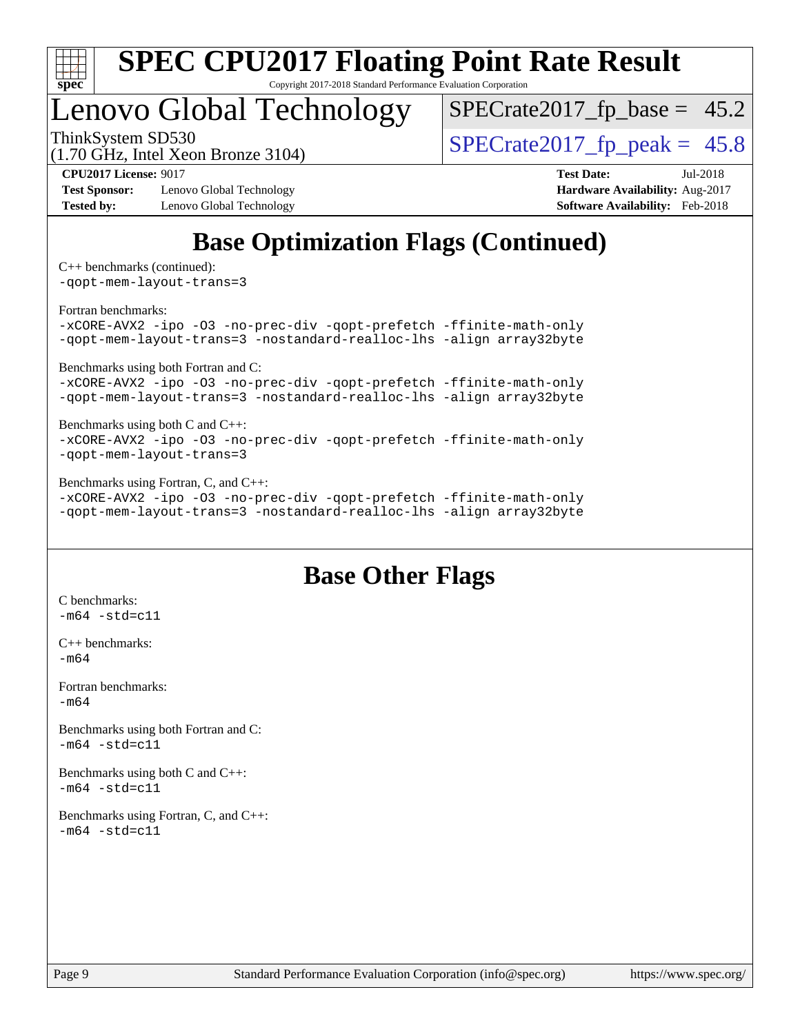

Copyright 2017-2018 Standard Performance Evaluation Corporation

## Lenovo Global Technology

 $SPECTate2017_fp\_base = 45.2$ 

(1.70 GHz, Intel Xeon Bronze 3104)

ThinkSystem SD530<br>(1.70 GHz, Intel Xeon Bronze 3104) [SPECrate2017\\_fp\\_peak =](http://www.spec.org/auto/cpu2017/Docs/result-fields.html#SPECrate2017fppeak)  $45.8$ 

**[Test Sponsor:](http://www.spec.org/auto/cpu2017/Docs/result-fields.html#TestSponsor)** Lenovo Global Technology **[Hardware Availability:](http://www.spec.org/auto/cpu2017/Docs/result-fields.html#HardwareAvailability)** Aug-2017 **[Tested by:](http://www.spec.org/auto/cpu2017/Docs/result-fields.html#Testedby)** Lenovo Global Technology **[Software Availability:](http://www.spec.org/auto/cpu2017/Docs/result-fields.html#SoftwareAvailability)** Feb-2018

**[CPU2017 License:](http://www.spec.org/auto/cpu2017/Docs/result-fields.html#CPU2017License)** 9017 **[Test Date:](http://www.spec.org/auto/cpu2017/Docs/result-fields.html#TestDate)** Jul-2018

## **[Base Optimization Flags \(Continued\)](http://www.spec.org/auto/cpu2017/Docs/result-fields.html#BaseOptimizationFlags)**

[C++ benchmarks](http://www.spec.org/auto/cpu2017/Docs/result-fields.html#CXXbenchmarks) (continued): [-qopt-mem-layout-trans=3](http://www.spec.org/cpu2017/results/res2018q3/cpu2017-20180709-07722.flags.html#user_CXXbase_f-qopt-mem-layout-trans_de80db37974c74b1f0e20d883f0b675c88c3b01e9d123adea9b28688d64333345fb62bc4a798493513fdb68f60282f9a726aa07f478b2f7113531aecce732043)

[Fortran benchmarks](http://www.spec.org/auto/cpu2017/Docs/result-fields.html#Fortranbenchmarks): [-xCORE-AVX2](http://www.spec.org/cpu2017/results/res2018q3/cpu2017-20180709-07722.flags.html#user_FCbase_f-xCORE-AVX2) [-ipo](http://www.spec.org/cpu2017/results/res2018q3/cpu2017-20180709-07722.flags.html#user_FCbase_f-ipo) [-O3](http://www.spec.org/cpu2017/results/res2018q3/cpu2017-20180709-07722.flags.html#user_FCbase_f-O3) [-no-prec-div](http://www.spec.org/cpu2017/results/res2018q3/cpu2017-20180709-07722.flags.html#user_FCbase_f-no-prec-div) [-qopt-prefetch](http://www.spec.org/cpu2017/results/res2018q3/cpu2017-20180709-07722.flags.html#user_FCbase_f-qopt-prefetch) [-ffinite-math-only](http://www.spec.org/cpu2017/results/res2018q3/cpu2017-20180709-07722.flags.html#user_FCbase_f_finite_math_only_cb91587bd2077682c4b38af759c288ed7c732db004271a9512da14a4f8007909a5f1427ecbf1a0fb78ff2a814402c6114ac565ca162485bbcae155b5e4258871) [-qopt-mem-layout-trans=3](http://www.spec.org/cpu2017/results/res2018q3/cpu2017-20180709-07722.flags.html#user_FCbase_f-qopt-mem-layout-trans_de80db37974c74b1f0e20d883f0b675c88c3b01e9d123adea9b28688d64333345fb62bc4a798493513fdb68f60282f9a726aa07f478b2f7113531aecce732043) [-nostandard-realloc-lhs](http://www.spec.org/cpu2017/results/res2018q3/cpu2017-20180709-07722.flags.html#user_FCbase_f_2003_std_realloc_82b4557e90729c0f113870c07e44d33d6f5a304b4f63d4c15d2d0f1fab99f5daaed73bdb9275d9ae411527f28b936061aa8b9c8f2d63842963b95c9dd6426b8a) [-align array32byte](http://www.spec.org/cpu2017/results/res2018q3/cpu2017-20180709-07722.flags.html#user_FCbase_align_array32byte_b982fe038af199962ba9a80c053b8342c548c85b40b8e86eb3cc33dee0d7986a4af373ac2d51c3f7cf710a18d62fdce2948f201cd044323541f22fc0fffc51b6)

[Benchmarks using both Fortran and C](http://www.spec.org/auto/cpu2017/Docs/result-fields.html#BenchmarksusingbothFortranandC):

[-xCORE-AVX2](http://www.spec.org/cpu2017/results/res2018q3/cpu2017-20180709-07722.flags.html#user_CC_FCbase_f-xCORE-AVX2) [-ipo](http://www.spec.org/cpu2017/results/res2018q3/cpu2017-20180709-07722.flags.html#user_CC_FCbase_f-ipo) [-O3](http://www.spec.org/cpu2017/results/res2018q3/cpu2017-20180709-07722.flags.html#user_CC_FCbase_f-O3) [-no-prec-div](http://www.spec.org/cpu2017/results/res2018q3/cpu2017-20180709-07722.flags.html#user_CC_FCbase_f-no-prec-div) [-qopt-prefetch](http://www.spec.org/cpu2017/results/res2018q3/cpu2017-20180709-07722.flags.html#user_CC_FCbase_f-qopt-prefetch) [-ffinite-math-only](http://www.spec.org/cpu2017/results/res2018q3/cpu2017-20180709-07722.flags.html#user_CC_FCbase_f_finite_math_only_cb91587bd2077682c4b38af759c288ed7c732db004271a9512da14a4f8007909a5f1427ecbf1a0fb78ff2a814402c6114ac565ca162485bbcae155b5e4258871) [-qopt-mem-layout-trans=3](http://www.spec.org/cpu2017/results/res2018q3/cpu2017-20180709-07722.flags.html#user_CC_FCbase_f-qopt-mem-layout-trans_de80db37974c74b1f0e20d883f0b675c88c3b01e9d123adea9b28688d64333345fb62bc4a798493513fdb68f60282f9a726aa07f478b2f7113531aecce732043) [-nostandard-realloc-lhs](http://www.spec.org/cpu2017/results/res2018q3/cpu2017-20180709-07722.flags.html#user_CC_FCbase_f_2003_std_realloc_82b4557e90729c0f113870c07e44d33d6f5a304b4f63d4c15d2d0f1fab99f5daaed73bdb9275d9ae411527f28b936061aa8b9c8f2d63842963b95c9dd6426b8a) [-align array32byte](http://www.spec.org/cpu2017/results/res2018q3/cpu2017-20180709-07722.flags.html#user_CC_FCbase_align_array32byte_b982fe038af199962ba9a80c053b8342c548c85b40b8e86eb3cc33dee0d7986a4af373ac2d51c3f7cf710a18d62fdce2948f201cd044323541f22fc0fffc51b6)

#### [Benchmarks using both C and C++](http://www.spec.org/auto/cpu2017/Docs/result-fields.html#BenchmarksusingbothCandCXX): [-xCORE-AVX2](http://www.spec.org/cpu2017/results/res2018q3/cpu2017-20180709-07722.flags.html#user_CC_CXXbase_f-xCORE-AVX2) [-ipo](http://www.spec.org/cpu2017/results/res2018q3/cpu2017-20180709-07722.flags.html#user_CC_CXXbase_f-ipo) [-O3](http://www.spec.org/cpu2017/results/res2018q3/cpu2017-20180709-07722.flags.html#user_CC_CXXbase_f-O3) [-no-prec-div](http://www.spec.org/cpu2017/results/res2018q3/cpu2017-20180709-07722.flags.html#user_CC_CXXbase_f-no-prec-div) [-qopt-prefetch](http://www.spec.org/cpu2017/results/res2018q3/cpu2017-20180709-07722.flags.html#user_CC_CXXbase_f-qopt-prefetch) [-ffinite-math-only](http://www.spec.org/cpu2017/results/res2018q3/cpu2017-20180709-07722.flags.html#user_CC_CXXbase_f_finite_math_only_cb91587bd2077682c4b38af759c288ed7c732db004271a9512da14a4f8007909a5f1427ecbf1a0fb78ff2a814402c6114ac565ca162485bbcae155b5e4258871) [-qopt-mem-layout-trans=3](http://www.spec.org/cpu2017/results/res2018q3/cpu2017-20180709-07722.flags.html#user_CC_CXXbase_f-qopt-mem-layout-trans_de80db37974c74b1f0e20d883f0b675c88c3b01e9d123adea9b28688d64333345fb62bc4a798493513fdb68f60282f9a726aa07f478b2f7113531aecce732043)

[Benchmarks using Fortran, C, and C++:](http://www.spec.org/auto/cpu2017/Docs/result-fields.html#BenchmarksusingFortranCandCXX)

[-xCORE-AVX2](http://www.spec.org/cpu2017/results/res2018q3/cpu2017-20180709-07722.flags.html#user_CC_CXX_FCbase_f-xCORE-AVX2) [-ipo](http://www.spec.org/cpu2017/results/res2018q3/cpu2017-20180709-07722.flags.html#user_CC_CXX_FCbase_f-ipo) [-O3](http://www.spec.org/cpu2017/results/res2018q3/cpu2017-20180709-07722.flags.html#user_CC_CXX_FCbase_f-O3) [-no-prec-div](http://www.spec.org/cpu2017/results/res2018q3/cpu2017-20180709-07722.flags.html#user_CC_CXX_FCbase_f-no-prec-div) [-qopt-prefetch](http://www.spec.org/cpu2017/results/res2018q3/cpu2017-20180709-07722.flags.html#user_CC_CXX_FCbase_f-qopt-prefetch) [-ffinite-math-only](http://www.spec.org/cpu2017/results/res2018q3/cpu2017-20180709-07722.flags.html#user_CC_CXX_FCbase_f_finite_math_only_cb91587bd2077682c4b38af759c288ed7c732db004271a9512da14a4f8007909a5f1427ecbf1a0fb78ff2a814402c6114ac565ca162485bbcae155b5e4258871) [-qopt-mem-layout-trans=3](http://www.spec.org/cpu2017/results/res2018q3/cpu2017-20180709-07722.flags.html#user_CC_CXX_FCbase_f-qopt-mem-layout-trans_de80db37974c74b1f0e20d883f0b675c88c3b01e9d123adea9b28688d64333345fb62bc4a798493513fdb68f60282f9a726aa07f478b2f7113531aecce732043) [-nostandard-realloc-lhs](http://www.spec.org/cpu2017/results/res2018q3/cpu2017-20180709-07722.flags.html#user_CC_CXX_FCbase_f_2003_std_realloc_82b4557e90729c0f113870c07e44d33d6f5a304b4f63d4c15d2d0f1fab99f5daaed73bdb9275d9ae411527f28b936061aa8b9c8f2d63842963b95c9dd6426b8a) [-align array32byte](http://www.spec.org/cpu2017/results/res2018q3/cpu2017-20180709-07722.flags.html#user_CC_CXX_FCbase_align_array32byte_b982fe038af199962ba9a80c053b8342c548c85b40b8e86eb3cc33dee0d7986a4af373ac2d51c3f7cf710a18d62fdce2948f201cd044323541f22fc0fffc51b6)

### **[Base Other Flags](http://www.spec.org/auto/cpu2017/Docs/result-fields.html#BaseOtherFlags)**

[C benchmarks](http://www.spec.org/auto/cpu2017/Docs/result-fields.html#Cbenchmarks):  $-m64 - std= c11$  $-m64 - std= c11$ [C++ benchmarks:](http://www.spec.org/auto/cpu2017/Docs/result-fields.html#CXXbenchmarks) [-m64](http://www.spec.org/cpu2017/results/res2018q3/cpu2017-20180709-07722.flags.html#user_CXXbase_intel_intel64_18.0_af43caccfc8ded86e7699f2159af6efc7655f51387b94da716254467f3c01020a5059329e2569e4053f409e7c9202a7efc638f7a6d1ffb3f52dea4a3e31d82ab) [Fortran benchmarks](http://www.spec.org/auto/cpu2017/Docs/result-fields.html#Fortranbenchmarks):  $-m64$ [Benchmarks using both Fortran and C](http://www.spec.org/auto/cpu2017/Docs/result-fields.html#BenchmarksusingbothFortranandC):  $-m64 - std = c11$  $-m64 - std = c11$ [Benchmarks using both C and C++](http://www.spec.org/auto/cpu2017/Docs/result-fields.html#BenchmarksusingbothCandCXX):  $-m64 - std= c11$  $-m64 - std= c11$ [Benchmarks using Fortran, C, and C++:](http://www.spec.org/auto/cpu2017/Docs/result-fields.html#BenchmarksusingFortranCandCXX)  $-m64 - std= c11$  $-m64 - std= c11$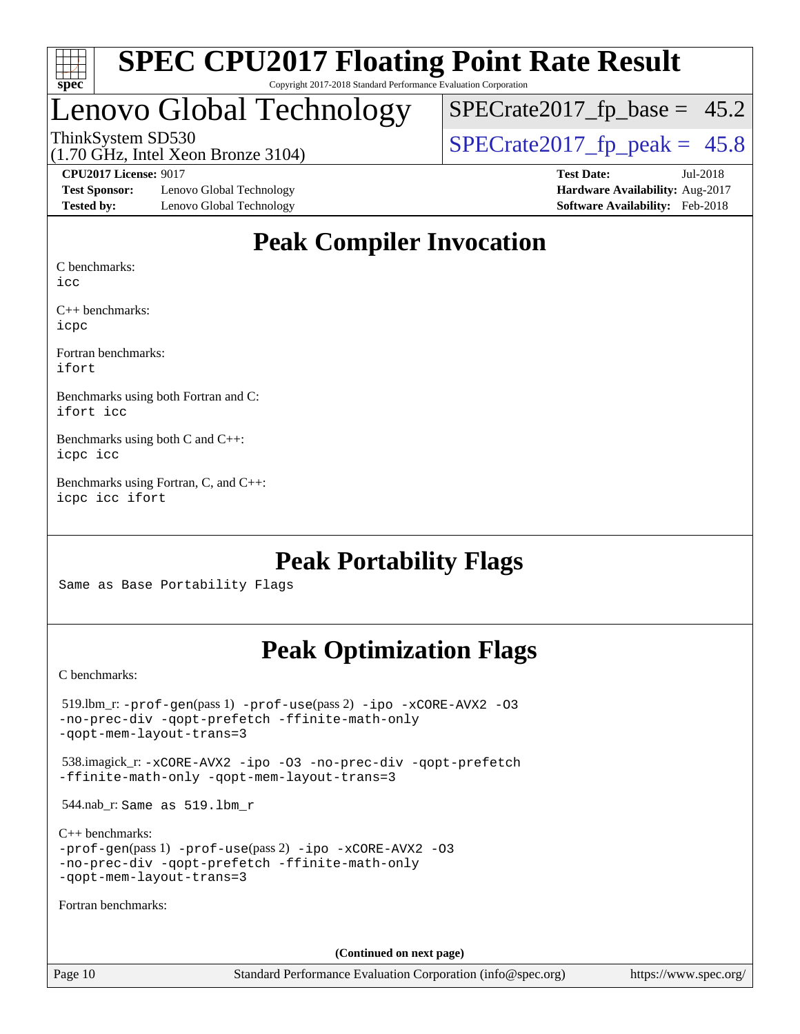

# Lenovo Global Technology

 $SPECTate2017_fp\_base = 45.2$ 

(1.70 GHz, Intel Xeon Bronze 3104)

#### **[CPU2017 License:](http://www.spec.org/auto/cpu2017/Docs/result-fields.html#CPU2017License)** 9017 **[Test Date:](http://www.spec.org/auto/cpu2017/Docs/result-fields.html#TestDate)** Jul-2018

[Test Sponsor:](http://www.spec.org/auto/cpu2017/Docs/result-fields.html#TestSponsor) Lenovo Global Technology **[Hardware Availability:](http://www.spec.org/auto/cpu2017/Docs/result-fields.html#HardwareAvailability)** Aug-2017 **[Tested by:](http://www.spec.org/auto/cpu2017/Docs/result-fields.html#Testedby)** Lenovo Global Technology **[Software Availability:](http://www.spec.org/auto/cpu2017/Docs/result-fields.html#SoftwareAvailability)** Feb-2018

ThinkSystem SD530<br>(1.70 GHz, Intel Xeon Bronze 3104) [SPECrate2017\\_fp\\_peak =](http://www.spec.org/auto/cpu2017/Docs/result-fields.html#SPECrate2017fppeak)  $45.8$ 

### **[Peak Compiler Invocation](http://www.spec.org/auto/cpu2017/Docs/result-fields.html#PeakCompilerInvocation)**

[C benchmarks:](http://www.spec.org/auto/cpu2017/Docs/result-fields.html#Cbenchmarks)

[icc](http://www.spec.org/cpu2017/results/res2018q3/cpu2017-20180709-07722.flags.html#user_CCpeak_intel_icc_18.0_66fc1ee009f7361af1fbd72ca7dcefbb700085f36577c54f309893dd4ec40d12360134090235512931783d35fd58c0460139e722d5067c5574d8eaf2b3e37e92)

[C++ benchmarks](http://www.spec.org/auto/cpu2017/Docs/result-fields.html#CXXbenchmarks): [icpc](http://www.spec.org/cpu2017/results/res2018q3/cpu2017-20180709-07722.flags.html#user_CXXpeak_intel_icpc_18.0_c510b6838c7f56d33e37e94d029a35b4a7bccf4766a728ee175e80a419847e808290a9b78be685c44ab727ea267ec2f070ec5dc83b407c0218cded6866a35d07)

[Fortran benchmarks:](http://www.spec.org/auto/cpu2017/Docs/result-fields.html#Fortranbenchmarks) [ifort](http://www.spec.org/cpu2017/results/res2018q3/cpu2017-20180709-07722.flags.html#user_FCpeak_intel_ifort_18.0_8111460550e3ca792625aed983ce982f94888b8b503583aa7ba2b8303487b4d8a21a13e7191a45c5fd58ff318f48f9492884d4413fa793fd88dd292cad7027ca)

[Benchmarks using both Fortran and C:](http://www.spec.org/auto/cpu2017/Docs/result-fields.html#BenchmarksusingbothFortranandC) [ifort](http://www.spec.org/cpu2017/results/res2018q3/cpu2017-20180709-07722.flags.html#user_CC_FCpeak_intel_ifort_18.0_8111460550e3ca792625aed983ce982f94888b8b503583aa7ba2b8303487b4d8a21a13e7191a45c5fd58ff318f48f9492884d4413fa793fd88dd292cad7027ca) [icc](http://www.spec.org/cpu2017/results/res2018q3/cpu2017-20180709-07722.flags.html#user_CC_FCpeak_intel_icc_18.0_66fc1ee009f7361af1fbd72ca7dcefbb700085f36577c54f309893dd4ec40d12360134090235512931783d35fd58c0460139e722d5067c5574d8eaf2b3e37e92)

[Benchmarks using both C and C++](http://www.spec.org/auto/cpu2017/Docs/result-fields.html#BenchmarksusingbothCandCXX): [icpc](http://www.spec.org/cpu2017/results/res2018q3/cpu2017-20180709-07722.flags.html#user_CC_CXXpeak_intel_icpc_18.0_c510b6838c7f56d33e37e94d029a35b4a7bccf4766a728ee175e80a419847e808290a9b78be685c44ab727ea267ec2f070ec5dc83b407c0218cded6866a35d07) [icc](http://www.spec.org/cpu2017/results/res2018q3/cpu2017-20180709-07722.flags.html#user_CC_CXXpeak_intel_icc_18.0_66fc1ee009f7361af1fbd72ca7dcefbb700085f36577c54f309893dd4ec40d12360134090235512931783d35fd58c0460139e722d5067c5574d8eaf2b3e37e92)

[Benchmarks using Fortran, C, and C++:](http://www.spec.org/auto/cpu2017/Docs/result-fields.html#BenchmarksusingFortranCandCXX) [icpc](http://www.spec.org/cpu2017/results/res2018q3/cpu2017-20180709-07722.flags.html#user_CC_CXX_FCpeak_intel_icpc_18.0_c510b6838c7f56d33e37e94d029a35b4a7bccf4766a728ee175e80a419847e808290a9b78be685c44ab727ea267ec2f070ec5dc83b407c0218cded6866a35d07) [icc](http://www.spec.org/cpu2017/results/res2018q3/cpu2017-20180709-07722.flags.html#user_CC_CXX_FCpeak_intel_icc_18.0_66fc1ee009f7361af1fbd72ca7dcefbb700085f36577c54f309893dd4ec40d12360134090235512931783d35fd58c0460139e722d5067c5574d8eaf2b3e37e92) [ifort](http://www.spec.org/cpu2017/results/res2018q3/cpu2017-20180709-07722.flags.html#user_CC_CXX_FCpeak_intel_ifort_18.0_8111460550e3ca792625aed983ce982f94888b8b503583aa7ba2b8303487b4d8a21a13e7191a45c5fd58ff318f48f9492884d4413fa793fd88dd292cad7027ca)

### **[Peak Portability Flags](http://www.spec.org/auto/cpu2017/Docs/result-fields.html#PeakPortabilityFlags)**

Same as Base Portability Flags

### **[Peak Optimization Flags](http://www.spec.org/auto/cpu2017/Docs/result-fields.html#PeakOptimizationFlags)**

[C benchmarks](http://www.spec.org/auto/cpu2017/Docs/result-fields.html#Cbenchmarks):

| $519.$ lbm_r: -prof-qen(pass 1) -prof-use(pass 2) -ipo -xCORE-AVX2 -03<br>-no-prec-div -qopt-prefetch -ffinite-math-only<br>-gopt-mem-layout-trans=3             |
|------------------------------------------------------------------------------------------------------------------------------------------------------------------|
| 538.imagick_r: -xCORE-AVX2 -ipo -03 -no-prec-div -qopt-prefetch<br>-ffinite-math-only -gopt-mem-layout-trans=3                                                   |
| $544.nab_r$ : Same as $519.lbm_r$                                                                                                                                |
| $C_{++}$ benchmarks:<br>$-prof-qen(pass 1) -prof-use(pass 2) -ipo -xCORE-AVX2 -O3$<br>-no-prec-div -qopt-prefetch -ffinite-math-only<br>-gopt-mem-layout-trans=3 |
| Fortran benchmarks:                                                                                                                                              |
|                                                                                                                                                                  |
| (Continued on next page)                                                                                                                                         |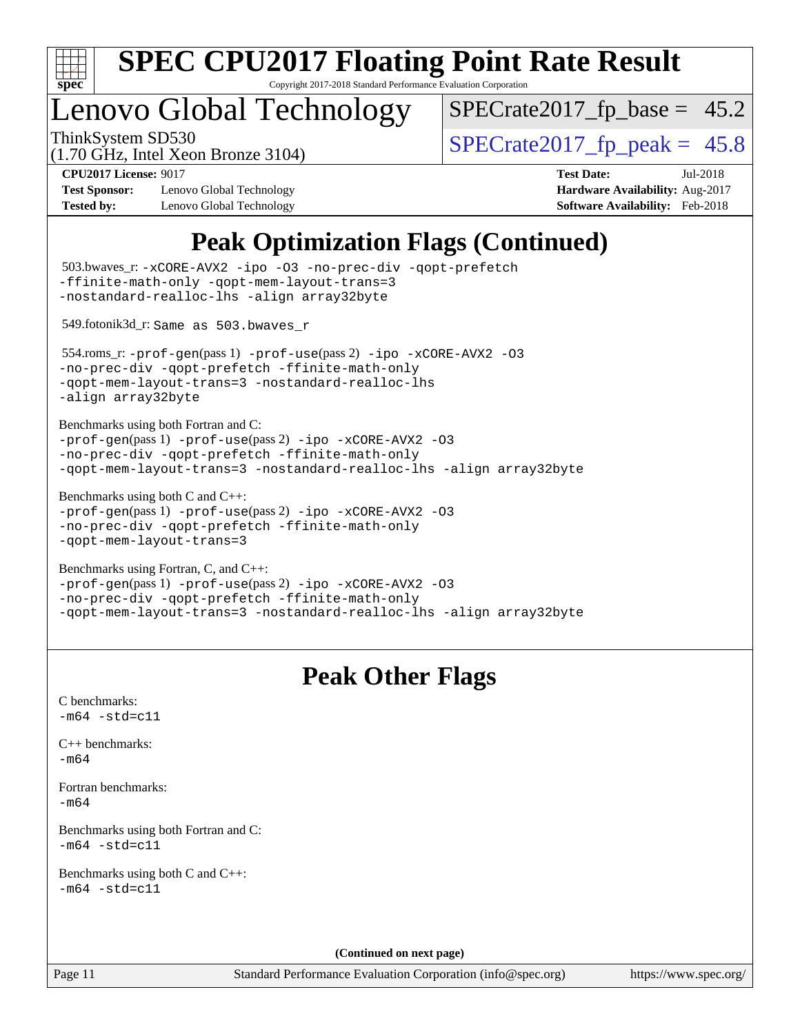

Copyright 2017-2018 Standard Performance Evaluation Corporation

# Lenovo Global Technology

 $SPECrate2017_fp\_base = 45.2$ 

(1.70 GHz, Intel Xeon Bronze 3104)

ThinkSystem SD530  $SPECrate2017$  fp\_peak = 45.8

**[Test Sponsor:](http://www.spec.org/auto/cpu2017/Docs/result-fields.html#TestSponsor)** Lenovo Global Technology **[Hardware Availability:](http://www.spec.org/auto/cpu2017/Docs/result-fields.html#HardwareAvailability)** Aug-2017 **[Tested by:](http://www.spec.org/auto/cpu2017/Docs/result-fields.html#Testedby)** Lenovo Global Technology **[Software Availability:](http://www.spec.org/auto/cpu2017/Docs/result-fields.html#SoftwareAvailability)** Feb-2018

**[CPU2017 License:](http://www.spec.org/auto/cpu2017/Docs/result-fields.html#CPU2017License)** 9017 **[Test Date:](http://www.spec.org/auto/cpu2017/Docs/result-fields.html#TestDate)** Jul-2018

## **[Peak Optimization Flags \(Continued\)](http://www.spec.org/auto/cpu2017/Docs/result-fields.html#PeakOptimizationFlags)**

```
(info@spec.org)https://www.spec.org/
  503.bwaves_r: -xCORE-AVX2 -ipo -O3 -no-prec-div -qopt-prefetch
-ffinite-math-only -qopt-mem-layout-trans=3
-nostandard-realloc-lhs -align array32byte
  549.fotonik3d_r: Same as 503.bwaves_r
  554.roms_r: -prof-gen(pass 1) -prof-use(pass 2) -ipo -xCORE-AVX2 -O3
-no-prec-div -qopt-prefetch -ffinite-math-only
-qopt-mem-layout-trans=3 -nostandard-realloc-lhs
-align array32byte
Benchmarks using both Fortran and C: 
-prof-gen(pass 1) -prof-use(pass 2) -ipo -xCORE-AVX2 -O3
-no-prec-div -qopt-prefetch -ffinite-math-only
-qopt-mem-layout-trans=3 -nostandard-realloc-lhs -align array32byte
Benchmarks using both C and C++: 
-prof-gen(pass 1) -prof-use(pass 2) -ipo -xCORE-AVX2 -O3
-no-prec-div -qopt-prefetch -ffinite-math-only
-qopt-mem-layout-trans=3
Benchmarks using Fortran, C, and C++: 
-prof-gen(pass 1) -prof-use(pass 2) -ipo -xCORE-AVX2 -O3
-no-prec-div -qopt-prefetch -ffinite-math-only
-qopt-mem-layout-trans=3 -nostandard-realloc-lhs -align array32byte
                                 Peak Other Flags
C benchmarks: 
-m64 - std= c11C++ benchmarks: 
-m64Fortran benchmarks: 
-m64
Benchmarks using both Fortran and C: 
-m64 - std= c11Benchmarks using both C and C++: 
-m64 - std= c11(Continued on next page)
```